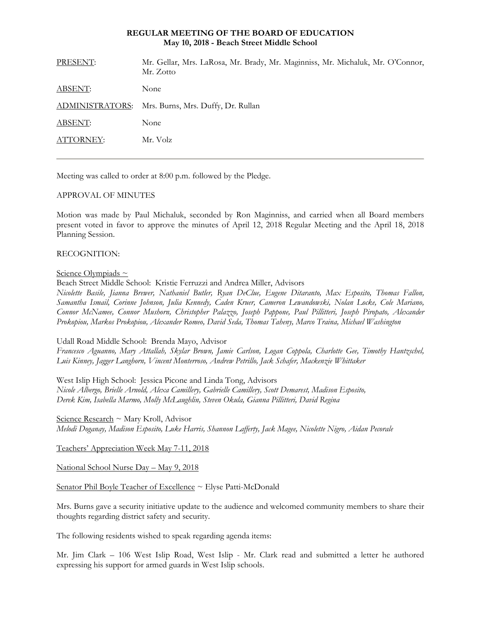## **REGULAR MEETING OF THE BOARD OF EDUCATION May 10, 2018 - Beach Street Middle School**

| PRESENT:        | Mr. Gellar, Mrs. LaRosa, Mr. Brady, Mr. Maginniss, Mr. Michaluk, Mr. O'Connor,<br>Mr. Zotto |
|-----------------|---------------------------------------------------------------------------------------------|
| <b>ABSENT:</b>  | None                                                                                        |
| ADMINISTRATORS: | Mrs. Burns, Mrs. Duffy, Dr. Rullan                                                          |
| ABSENT:         | None                                                                                        |
| ATTORNEY:       | Mr. Volz                                                                                    |
|                 |                                                                                             |

Meeting was called to order at 8:00 p.m. followed by the Pledge.

# APPROVAL OF MINUTES

Motion was made by Paul Michaluk, seconded by Ron Maginniss, and carried when all Board members present voted in favor to approve the minutes of April 12, 2018 Regular Meeting and the April 18, 2018 Planning Session.

# RECOGNITION:

# Science Olympiads ~

Beach Street Middle School: Kristie Ferruzzi and Andrea Miller, Advisors *Nicolette Basile, Jianna Brewer, Nathaniel Butler, Ryan DeClue, Eugene Ditaranto, Max Esposito, Thomas Fallon, Samantha Ismail, Corinne Johnson, Julia Kennedy, Caden Kruer, Cameron Lewandowski, Nolan Locke, Cole Mariano, Connor McNamee, Connor Mushorn, Christopher Palazzo, Joseph Pappone, Paul Pillitteri, Joseph Piropato, Alexander Prokopiou, Markos Prokopiou, Alexander Romeo, David Seda, Thomas Taheny, Marco Traina, Michael Washington* 

Udall Road Middle School: Brenda Mayo, Advisor

*Francesco Aguanno, Mary Attallah, Skylar Brown, Jamie Carlson, Logan Coppola, Charlotte Gee, Timothy Hantzschel, Luis Kinney, Jagger Langhorn, Vincent Monterroso, Andrew Petrillo, Jack Schafer, Mackenzie Whittaker* 

West Islip High School: Jessica Picone and Linda Tong, Advisors *Nicole Albergo, Brielle Arnold, Alexa Camillery, Gabrielle Camillery, Scott Demarest, Madison Esposito, Derek Kim, Isabella Marmo, Molly McLaughlin, Steven Okula, Gianna Pillitteri, David Regina* 

Science Research ~ Mary Kroll, Advisor *Melodi Doganay, Madison Esposito, Luke Harris, Shannon Lafferty, Jack Magee, Nicolette Nigro, Aidan Pecorale* 

Teachers' Appreciation Week May 7-11, 2018

National School Nurse Day – May 9, 2018

Senator Phil Boyle Teacher of Excellence ~ Elyse Patti-McDonald

Mrs. Burns gave a security initiative update to the audience and welcomed community members to share their thoughts regarding district safety and security.

The following residents wished to speak regarding agenda items:

Mr. Jim Clark – 106 West Islip Road, West Islip - Mr. Clark read and submitted a letter he authored expressing his support for armed guards in West Islip schools.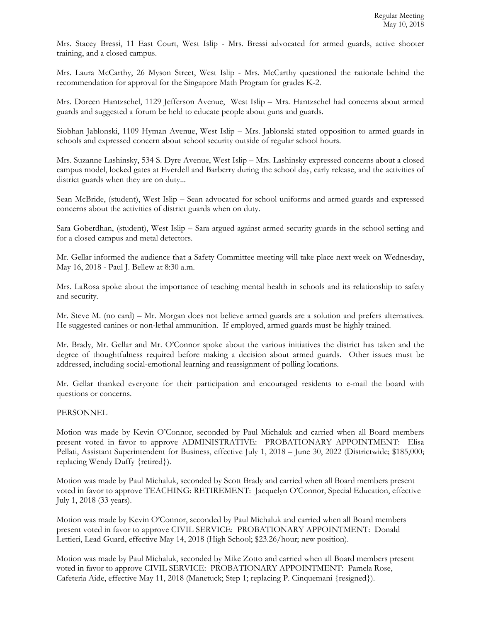Mrs. Stacey Bressi, 11 East Court, West Islip - Mrs. Bressi advocated for armed guards, active shooter training, and a closed campus.

Mrs. Laura McCarthy, 26 Myson Street, West Islip - Mrs. McCarthy questioned the rationale behind the recommendation for approval for the Singapore Math Program for grades K-2.

Mrs. Doreen Hantzschel, 1129 Jefferson Avenue, West Islip – Mrs. Hantzschel had concerns about armed guards and suggested a forum be held to educate people about guns and guards.

Siobhan Jablonski, 1109 Hyman Avenue, West Islip – Mrs. Jablonski stated opposition to armed guards in schools and expressed concern about school security outside of regular school hours.

Mrs. Suzanne Lashinsky, 534 S. Dyre Avenue, West Islip – Mrs. Lashinsky expressed concerns about a closed campus model, locked gates at Everdell and Barberry during the school day, early release, and the activities of district guards when they are on duty...

Sean McBride, (student), West Islip – Sean advocated for school uniforms and armed guards and expressed concerns about the activities of district guards when on duty.

Sara Goberdhan, (student), West Islip – Sara argued against armed security guards in the school setting and for a closed campus and metal detectors.

Mr. Gellar informed the audience that a Safety Committee meeting will take place next week on Wednesday, May 16, 2018 - Paul J. Bellew at 8:30 a.m.

Mrs. LaRosa spoke about the importance of teaching mental health in schools and its relationship to safety and security.

Mr. Steve M. (no card) – Mr. Morgan does not believe armed guards are a solution and prefers alternatives. He suggested canines or non-lethal ammunition. If employed, armed guards must be highly trained.

Mr. Brady, Mr. Gellar and Mr. O'Connor spoke about the various initiatives the district has taken and the degree of thoughtfulness required before making a decision about armed guards. Other issues must be addressed, including social-emotional learning and reassignment of polling locations.

Mr. Gellar thanked everyone for their participation and encouraged residents to e-mail the board with questions or concerns.

## PERSONNEL

Motion was made by Kevin O'Connor, seconded by Paul Michaluk and carried when all Board members present voted in favor to approve ADMINISTRATIVE: PROBATIONARY APPOINTMENT: Elisa Pellati, Assistant Superintendent for Business, effective July 1, 2018 – June 30, 2022 (Districtwide; \$185,000; replacing Wendy Duffy {retired}).

Motion was made by Paul Michaluk, seconded by Scott Brady and carried when all Board members present voted in favor to approve TEACHING: RETIREMENT: Jacquelyn O'Connor, Special Education, effective July 1, 2018 (33 years).

Motion was made by Kevin O'Connor, seconded by Paul Michaluk and carried when all Board members present voted in favor to approve CIVIL SERVICE: PROBATIONARY APPOINTMENT: Donald Lettieri, Lead Guard, effective May 14, 2018 (High School; \$23.26/hour; new position).

Motion was made by Paul Michaluk, seconded by Mike Zotto and carried when all Board members present voted in favor to approve CIVIL SERVICE: PROBATIONARY APPOINTMENT: Pamela Rose, Cafeteria Aide, effective May 11, 2018 (Manetuck; Step 1; replacing P. Cinquemani {resigned}).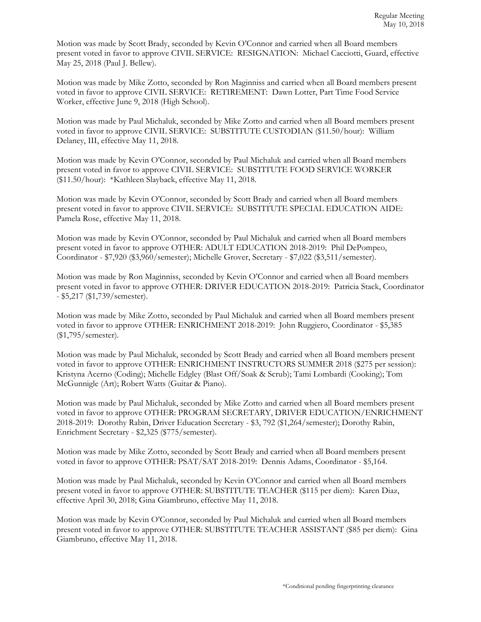Motion was made by Scott Brady, seconded by Kevin O'Connor and carried when all Board members present voted in favor to approve CIVIL SERVICE: RESIGNATION: Michael Cacciotti, Guard, effective May 25, 2018 (Paul J. Bellew).

Motion was made by Mike Zotto, seconded by Ron Maginniss and carried when all Board members present voted in favor to approve CIVIL SERVICE: RETIREMENT: Dawn Lotter, Part Time Food Service Worker, effective June 9, 2018 (High School).

Motion was made by Paul Michaluk, seconded by Mike Zotto and carried when all Board members present voted in favor to approve CIVIL SERVICE: SUBSTITUTE CUSTODIAN (\$11.50/hour): William Delaney, III, effective May 11, 2018.

Motion was made by Kevin O'Connor, seconded by Paul Michaluk and carried when all Board members present voted in favor to approve CIVIL SERVICE: SUBSTITUTE FOOD SERVICE WORKER (\$11.50/hour): \*Kathleen Slayback, effective May 11, 2018.

Motion was made by Kevin O'Connor, seconded by Scott Brady and carried when all Board members present voted in favor to approve CIVIL SERVICE: SUBSTITUTE SPECIAL EDUCATION AIDE: Pamela Rose, effective May 11, 2018.

Motion was made by Kevin O'Connor, seconded by Paul Michaluk and carried when all Board members present voted in favor to approve OTHER: ADULT EDUCATION 2018-2019: Phil DePompeo, Coordinator - \$7,920 (\$3,960/semester); Michelle Grover, Secretary - \$7,022 (\$3,511/semester).

Motion was made by Ron Maginniss, seconded by Kevin O'Connor and carried when all Board members present voted in favor to approve OTHER: DRIVER EDUCATION 2018-2019: Patricia Stack, Coordinator - \$5,217 (\$1,739/semester).

Motion was made by Mike Zotto, seconded by Paul Michaluk and carried when all Board members present voted in favor to approve OTHER: ENRICHMENT 2018-2019: John Ruggiero, Coordinator - \$5,385 (\$1,795/semester).

Motion was made by Paul Michaluk, seconded by Scott Brady and carried when all Board members present voted in favor to approve OTHER: ENRICHMENT INSTRUCTORS SUMMER 2018 (\$275 per session): Kristyna Acerno (Coding); Michelle Edgley (Blast Off/Soak & Scrub); Tami Lombardi (Cooking); Tom McGunnigle (Art); Robert Watts (Guitar & Piano).

Motion was made by Paul Michaluk, seconded by Mike Zotto and carried when all Board members present voted in favor to approve OTHER: PROGRAM SECRETARY, DRIVER EDUCATION/ENRICHMENT 2018-2019: Dorothy Rabin, Driver Education Secretary - \$3, 792 (\$1,264/semester); Dorothy Rabin, Enrichment Secretary - \$2,325 (\$775/semester).

Motion was made by Mike Zotto, seconded by Scott Brady and carried when all Board members present voted in favor to approve OTHER: PSAT/SAT 2018-2019: Dennis Adams, Coordinator - \$5,164.

Motion was made by Paul Michaluk, seconded by Kevin O'Connor and carried when all Board members present voted in favor to approve OTHER: SUBSTITUTE TEACHER (\$115 per diem): Karen Diaz, effective April 30, 2018; Gina Giambruno, effective May 11, 2018.

Motion was made by Kevin O'Connor, seconded by Paul Michaluk and carried when all Board members present voted in favor to approve OTHER: SUBSTITUTE TEACHER ASSISTANT (\$85 per diem): Gina Giambruno, effective May 11, 2018.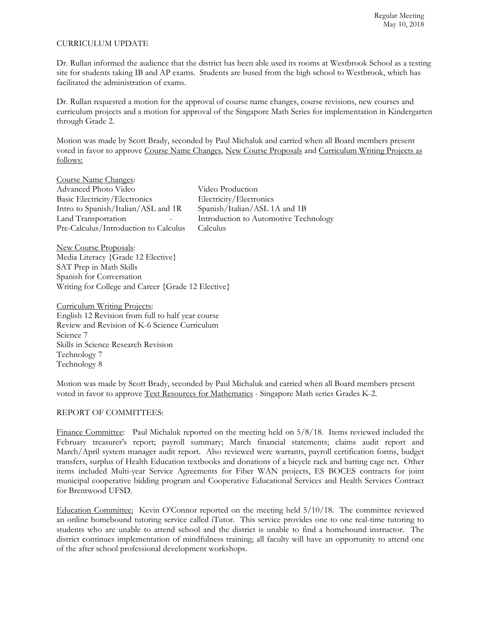## CURRICULUM UPDATE

Dr. Rullan informed the audience that the district has been able used its rooms at Westbrook School as a testing site for students taking IB and AP exams. Students are bused from the high school to Westbrook, which has facilitated the administration of exams.

Dr. Rullan requested a motion for the approval of course name changes, course revisions, new courses and curriculum projects and a motion for approval of the Singapore Math Series for implementation in Kindergarten through Grade 2.

Motion was made by Scott Brady, seconded by Paul Michaluk and carried when all Board members present voted in favor to approve Course Name Changes, New Course Proposals and Curriculum Writing Projects as follows:

Course Name Changes: Advanced Photo Video Video Video Production<br>Basic Electricity/Electronics Electricity/Electronics Basic Electricity/Electronics<br>
Intro to Spanish/Italian/ASL and 1R Spanish/Italian/ASL 1A and 1B Intro to Spanish/Italian/ASL and 1R<br>Land Transportation Pre-Calculus/Introduction to Calculus Calculus

Introduction to Automotive Technology

New Course Proposals: Media Literacy {Grade 12 Elective} SAT Prep in Math Skills Spanish for Conversation Writing for College and Career {Grade 12 Elective}

Curriculum Writing Projects: English 12 Revision from full to half year course Review and Revision of K-6 Science Curriculum Science 7 Skills in Science Research Revision Technology 7 Technology 8

Motion was made by Scott Brady, seconded by Paul Michaluk and carried when all Board members present voted in favor to approve Text Resources for Mathematics - Singapore Math series Grades K-2.

## REPORT OF COMMITTEES:

Finance Committee: Paul Michaluk reported on the meeting held on  $5/8/18$ . Items reviewed included the February treasurer's report; payroll summary; March financial statements; claims audit report and March/April system manager audit report. Also reviewed were warrants, payroll certification forms, budget transfers, surplus of Health Education textbooks and donations of a bicycle rack and batting cage net. Other items included Multi-year Service Agreements for Fiber WAN projects, ES BOCES contracts for joint municipal cooperative bidding program and Cooperative Educational Services and Health Services Contract for Brentwood UFSD.

Education Committee: Kevin O'Connor reported on the meeting held  $5/10/18$ . The committee reviewed an online homebound tutoring service called iTutor. This service provides one to one real-time tutoring to students who are unable to attend school and the district is unable to find a homebound instructor. The district continues implementation of mindfulness training; all faculty will have an opportunity to attend one of the after school professional development workshops.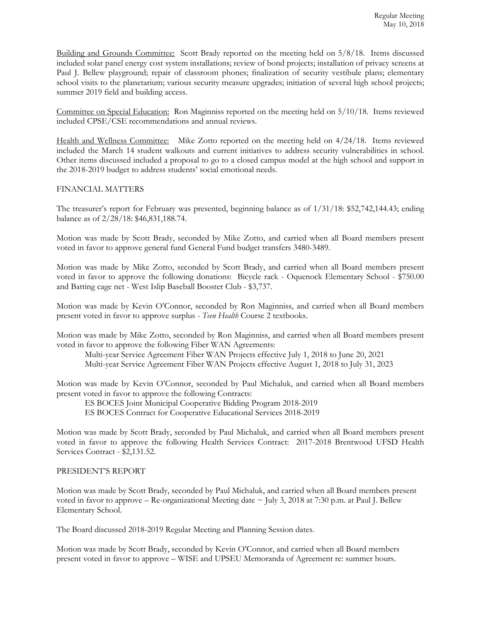Building and Grounds Committee: Scott Brady reported on the meeting held on 5/8/18. Items discussed included solar panel energy cost system installations; review of bond projects; installation of privacy screens at Paul J. Bellew playground; repair of classroom phones; finalization of security vestibule plans; elementary school visits to the planetarium; various security measure upgrades; initiation of several high school projects; summer 2019 field and building access.

Committee on Special Education: Ron Maginniss reported on the meeting held on 5/10/18. Items reviewed included CPSE/CSE recommendations and annual reviews.

Health and Wellness Committee: Mike Zotto reported on the meeting held on 4/24/18. Items reviewed included the March 14 student walkouts and current initiatives to address security vulnerabilities in school. Other items discussed included a proposal to go to a closed campus model at the high school and support in the 2018-2019 budget to address students' social emotional needs.

#### FINANCIAL MATTERS

The treasurer's report for February was presented, beginning balance as of 1/31/18: \$52,742,144.43; ending balance as of 2/28/18: \$46,831,188.74.

Motion was made by Scott Brady, seconded by Mike Zotto, and carried when all Board members present voted in favor to approve general fund General Fund budget transfers 3480-3489.

Motion was made by Mike Zotto, seconded by Scott Brady, and carried when all Board members present voted in favor to approve the following donations: Bicycle rack - Oquenock Elementary School - \$750.00 and Batting cage net - West Islip Baseball Booster Club - \$3,737.

Motion was made by Kevin O'Connor, seconded by Ron Maginniss, and carried when all Board members present voted in favor to approve surplus - *Teen Health* Course 2 textbooks.

Motion was made by Mike Zotto, seconded by Ron Maginniss, and carried when all Board members present voted in favor to approve the following Fiber WAN Agreements:

Multi-year Service Agreement Fiber WAN Projects effective July 1, 2018 to June 20, 2021 Multi-year Service Agreement Fiber WAN Projects effective August 1, 2018 to July 31, 2023

Motion was made by Kevin O'Connor, seconded by Paul Michaluk, and carried when all Board members present voted in favor to approve the following Contracts:

ES BOCES Joint Municipal Cooperative Bidding Program 2018-2019 ES BOCES Contract for Cooperative Educational Services 2018-2019

Motion was made by Scott Brady, seconded by Paul Michaluk, and carried when all Board members present voted in favor to approve the following Health Services Contract: 2017-2018 Brentwood UFSD Health Services Contract - \$2,131.52.

#### PRESIDENT'S REPORT

Motion was made by Scott Brady, seconded by Paul Michaluk, and carried when all Board members present voted in favor to approve – Re-organizational Meeting date  $\sim$  July 3, 2018 at 7:30 p.m. at Paul J. Bellew Elementary School.

The Board discussed 2018-2019 Regular Meeting and Planning Session dates.

Motion was made by Scott Brady, seconded by Kevin O'Connor, and carried when all Board members present voted in favor to approve – WISE and UPSEU Memoranda of Agreement re: summer hours.